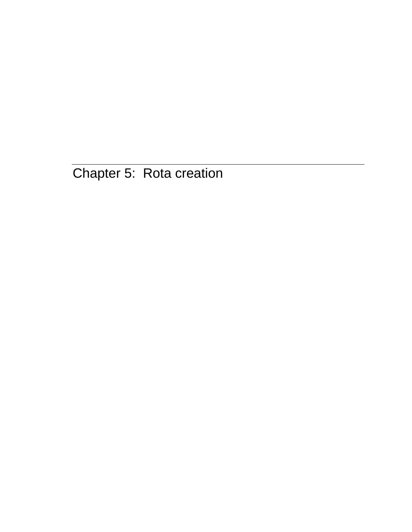Chapter 5: Rota creation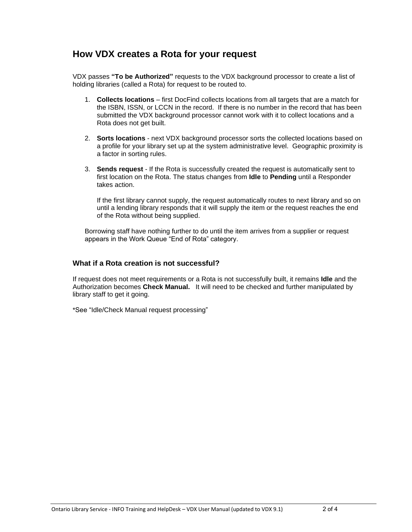## **How VDX creates a Rota for your request**

VDX passes **"To be Authorized"** requests to the VDX background processor to create a list of holding libraries (called a Rota) for request to be routed to.

- 1. **Collects locations** first DocFind collects locations from all targets that are a match for the ISBN, ISSN, or LCCN in the record. If there is no number in the record that has been submitted the VDX background processor cannot work with it to collect locations and a Rota does not get built.
- 2. **Sorts locations** next VDX background processor sorts the collected locations based on a profile for your library set up at the system administrative level. Geographic proximity is a factor in sorting rules.
- 3. **Sends request** If the Rota is successfully created the request is automatically sent to first location on the Rota. The status changes from **Idle** to **Pending** until a Responder takes action.

If the first library cannot supply, the request automatically routes to next library and so on until a lending library responds that it will supply the item or the request reaches the end of the Rota without being supplied.

Borrowing staff have nothing further to do until the item arrives from a supplier or request appears in the Work Queue "End of Rota" category.

#### **What if a Rota creation is not successful?**

If request does not meet requirements or a Rota is not successfully built, it remains **Idle** and the Authorization becomes **Check Manual.** It will need to be checked and further manipulated by library staff to get it going.

\*See "Idle/Check Manual request processing"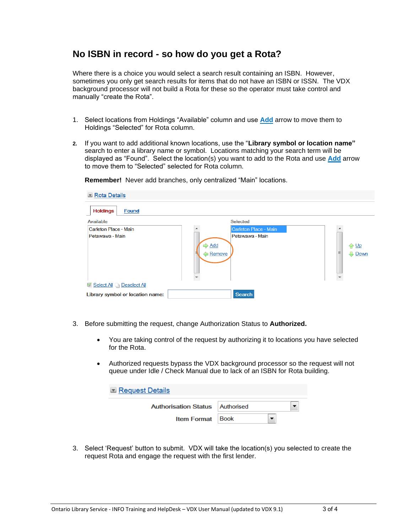## **No ISBN in record - so how do you get a Rota?**

Where there is a choice you would select a search result containing an ISBN. However, sometimes you only get search results for items that do not have an ISBN or ISSN. The VDX background processor will not build a Rota for these so the operator must take control and manually "create the Rota".

- 1. Select locations from Holdings "Available" column and use **Add** arrow to move them to Holdings "Selected" for Rota column.
- **2.** If you want to add additional known locations, use the "**Library symbol or location name"** search to enter a library name or symbol. Locations matching your search term will be displayed as "Found". Select the location(s) you want to add to the Rota and use **Add** arrow to move them to "Selected" selected for Rota column.

| Rota Details                     |                  |                       |                          |
|----------------------------------|------------------|-----------------------|--------------------------|
| <b>Holdings</b><br><b>Found</b>  |                  |                       |                          |
| Available                        |                  | <b>Selected</b>       |                          |
| Carleton Place - Main            |                  | Carleton Place - Main |                          |
| Petawawa - Main                  | Add<br>$R$ emove | Petawawa - Main       | ← Up<br>Ξ<br><b>Down</b> |
| Select All C Deselect All        |                  |                       |                          |
| Library symbol or location name: |                  | <b>Search</b>         |                          |

**Remember!** Never add branches, only centralized "Main" locations.

- 3. Before submitting the request, change Authorization Status to **Authorized.** 
	- You are taking control of the request by authorizing it to locations you have selected for the Rota.
	- Authorized requests bypass the VDX background processor so the request will not queue under Idle / Check Manual due to lack of an ISBN for Rota building.

| <b>Request Details</b>                   |  |
|------------------------------------------|--|
| <b>Authorisation Status   Authorised</b> |  |
| <b>Item Format</b> Book                  |  |

3. Select 'Request' button to submit. VDX will take the location(s) you selected to create the request Rota and engage the request with the first lender.